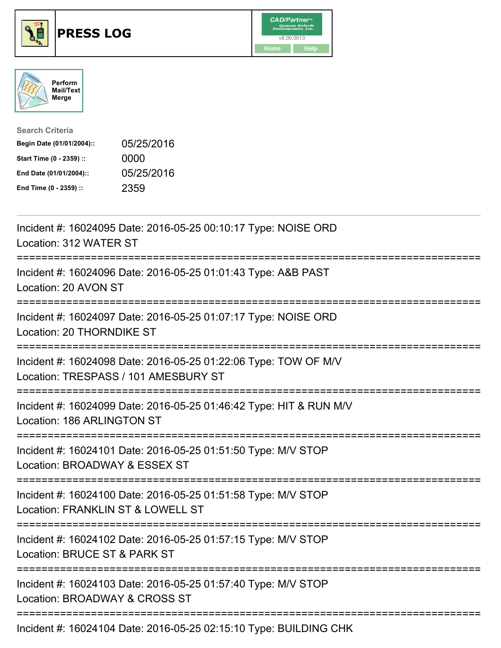





| <b>Search Criteria</b>    |            |
|---------------------------|------------|
| Begin Date (01/01/2004):: | 05/25/2016 |
| Start Time (0 - 2359) ::  | 0000       |
| End Date (01/01/2004)::   | 05/25/2016 |
| End Time (0 - 2359) ::    | 2359       |

| Incident #: 16024095 Date: 2016-05-25 00:10:17 Type: NOISE ORD<br>Location: 312 WATER ST                                                     |
|----------------------------------------------------------------------------------------------------------------------------------------------|
| Incident #: 16024096 Date: 2016-05-25 01:01:43 Type: A&B PAST<br>Location: 20 AVON ST<br>==================                                  |
| Incident #: 16024097 Date: 2016-05-25 01:07:17 Type: NOISE ORD<br>Location: 20 THORNDIKE ST<br>-------------                                 |
| Incident #: 16024098 Date: 2016-05-25 01:22:06 Type: TOW OF M/V<br>Location: TRESPASS / 101 AMESBURY ST<br>---------------------------       |
| Incident #: 16024099 Date: 2016-05-25 01:46:42 Type: HIT & RUN M/V<br>Location: 186 ARLINGTON ST<br>:==================================      |
| Incident #: 16024101 Date: 2016-05-25 01:51:50 Type: M/V STOP<br>Location: BROADWAY & ESSEX ST<br>:=========================<br>------------ |
| Incident #: 16024100 Date: 2016-05-25 01:51:58 Type: M/V STOP<br>Location: FRANKLIN ST & LOWELL ST                                           |
| Incident #: 16024102 Date: 2016-05-25 01:57:15 Type: M/V STOP<br>Location: BRUCE ST & PARK ST<br>===================================         |
| Incident #: 16024103 Date: 2016-05-25 01:57:40 Type: M/V STOP<br>Location: BROADWAY & CROSS ST                                               |
| -------------------------<br>Incident #: 16024104 Date: 2016-05-25 02:15:10 Type: BUILDING CHK                                               |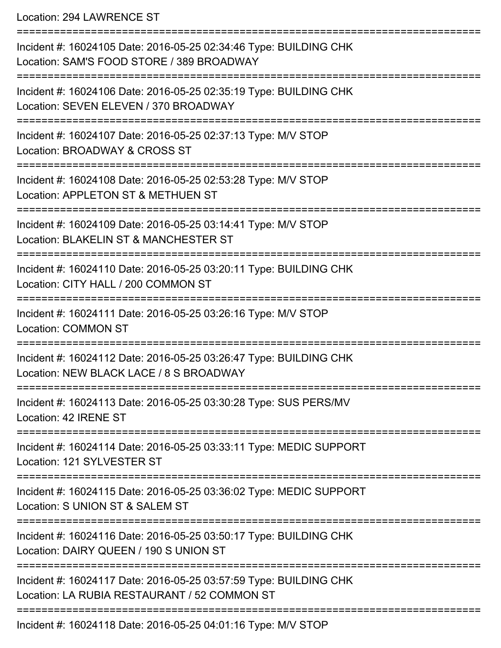Location: 294 LAWRENCE ST

=========================================================================== Incident #: 16024105 Date: 2016-05-25 02:34:46 Type: BUILDING CHK Location: SAM'S FOOD STORE / 389 BROADWAY =========================================================================== Incident #: 16024106 Date: 2016-05-25 02:35:19 Type: BUILDING CHK Location: SEVEN ELEVEN / 370 BROADWAY =========================================================================== Incident #: 16024107 Date: 2016-05-25 02:37:13 Type: M/V STOP Location: BROADWAY & CROSS ST =========================================================================== Incident #: 16024108 Date: 2016-05-25 02:53:28 Type: M/V STOP Location: APPLETON ST & METHUEN ST =========================================================================== Incident #: 16024109 Date: 2016-05-25 03:14:41 Type: M/V STOP Location: BLAKELIN ST & MANCHESTER ST =========================================================================== Incident #: 16024110 Date: 2016-05-25 03:20:11 Type: BUILDING CHK Location: CITY HALL / 200 COMMON ST =========================================================================== Incident #: 16024111 Date: 2016-05-25 03:26:16 Type: M/V STOP Location: COMMON ST =========================================================================== Incident #: 16024112 Date: 2016-05-25 03:26:47 Type: BUILDING CHK Location: NEW BLACK LACE / 8 S BROADWAY =========================================================================== Incident #: 16024113 Date: 2016-05-25 03:30:28 Type: SUS PERS/MV Location: 42 IRENE ST =========================================================================== Incident #: 16024114 Date: 2016-05-25 03:33:11 Type: MEDIC SUPPORT Location: 121 SYLVESTER ST =========================================================================== Incident #: 16024115 Date: 2016-05-25 03:36:02 Type: MEDIC SUPPORT Location: S UNION ST & SALEM ST =========================================================================== Incident #: 16024116 Date: 2016-05-25 03:50:17 Type: BUILDING CHK Location: DAIRY QUEEN / 190 S UNION ST =========================================================================== Incident #: 16024117 Date: 2016-05-25 03:57:59 Type: BUILDING CHK Location: LA RUBIA RESTAURANT / 52 COMMON ST =========================================================================== Incident #: 16024118 Date: 2016-05-25 04:01:16 Type: M/V STOP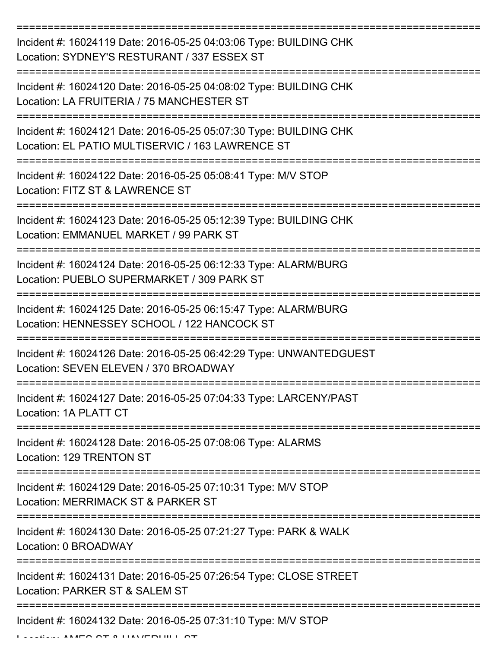| Incident #: 16024119 Date: 2016-05-25 04:03:06 Type: BUILDING CHK<br>Location: SYDNEY'S RESTURANT / 337 ESSEX ST      |
|-----------------------------------------------------------------------------------------------------------------------|
| Incident #: 16024120 Date: 2016-05-25 04:08:02 Type: BUILDING CHK<br>Location: LA FRUITERIA / 75 MANCHESTER ST        |
| Incident #: 16024121 Date: 2016-05-25 05:07:30 Type: BUILDING CHK<br>Location: EL PATIO MULTISERVIC / 163 LAWRENCE ST |
| Incident #: 16024122 Date: 2016-05-25 05:08:41 Type: M/V STOP<br>Location: FITZ ST & LAWRENCE ST                      |
| Incident #: 16024123 Date: 2016-05-25 05:12:39 Type: BUILDING CHK<br>Location: EMMANUEL MARKET / 99 PARK ST           |
| Incident #: 16024124 Date: 2016-05-25 06:12:33 Type: ALARM/BURG<br>Location: PUEBLO SUPERMARKET / 309 PARK ST         |
| Incident #: 16024125 Date: 2016-05-25 06:15:47 Type: ALARM/BURG<br>Location: HENNESSEY SCHOOL / 122 HANCOCK ST        |
| Incident #: 16024126 Date: 2016-05-25 06:42:29 Type: UNWANTEDGUEST<br>Location: SEVEN ELEVEN / 370 BROADWAY           |
| Incident #: 16024127 Date: 2016-05-25 07:04:33 Type: LARCENY/PAST<br>Location: 1A PLATT CT                            |
| Incident #: 16024128 Date: 2016-05-25 07:08:06 Type: ALARMS<br>Location: 129 TRENTON ST                               |
| Incident #: 16024129 Date: 2016-05-25 07:10:31 Type: M/V STOP<br>Location: MERRIMACK ST & PARKER ST                   |
| Incident #: 16024130 Date: 2016-05-25 07:21:27 Type: PARK & WALK<br>Location: 0 BROADWAY                              |
| Incident #: 16024131 Date: 2016-05-25 07:26:54 Type: CLOSE STREET<br>Location: PARKER ST & SALEM ST                   |
| Incident #: 16024132 Date: 2016-05-25 07:31:10 Type: M/V STOP                                                         |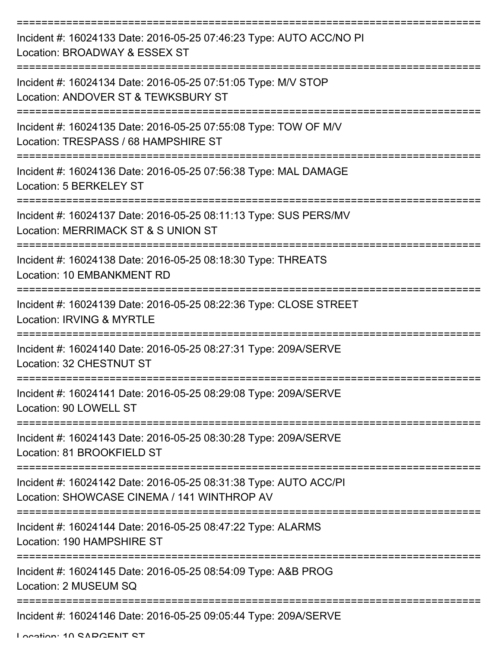| Incident #: 16024133 Date: 2016-05-25 07:46:23 Type: AUTO ACC/NO PI<br>Location: BROADWAY & ESSEX ST            |
|-----------------------------------------------------------------------------------------------------------------|
| Incident #: 16024134 Date: 2016-05-25 07:51:05 Type: M/V STOP<br>Location: ANDOVER ST & TEWKSBURY ST            |
| Incident #: 16024135 Date: 2016-05-25 07:55:08 Type: TOW OF M/V<br>Location: TRESPASS / 68 HAMPSHIRE ST         |
| Incident #: 16024136 Date: 2016-05-25 07:56:38 Type: MAL DAMAGE<br>Location: 5 BERKELEY ST                      |
| Incident #: 16024137 Date: 2016-05-25 08:11:13 Type: SUS PERS/MV<br>Location: MERRIMACK ST & S UNION ST         |
| Incident #: 16024138 Date: 2016-05-25 08:18:30 Type: THREATS<br>Location: 10 EMBANKMENT RD                      |
| Incident #: 16024139 Date: 2016-05-25 08:22:36 Type: CLOSE STREET<br>Location: IRVING & MYRTLE                  |
| Incident #: 16024140 Date: 2016-05-25 08:27:31 Type: 209A/SERVE<br>Location: 32 CHESTNUT ST                     |
| Incident #: 16024141 Date: 2016-05-25 08:29:08 Type: 209A/SERVE<br>Location: 90 LOWELL ST                       |
| Incident #: 16024143 Date: 2016-05-25 08:30:28 Type: 209A/SERVE<br>Location: 81 BROOKFIELD ST                   |
| Incident #: 16024142 Date: 2016-05-25 08:31:38 Type: AUTO ACC/PI<br>Location: SHOWCASE CINEMA / 141 WINTHROP AV |
| Incident #: 16024144 Date: 2016-05-25 08:47:22 Type: ALARMS<br>Location: 190 HAMPSHIRE ST                       |
| Incident #: 16024145 Date: 2016-05-25 08:54:09 Type: A&B PROG<br>Location: 2 MUSEUM SQ                          |
| Incident #: 16024146 Date: 2016-05-25 09:05:44 Type: 209A/SERVE                                                 |

Location: 10 CADCENIT CT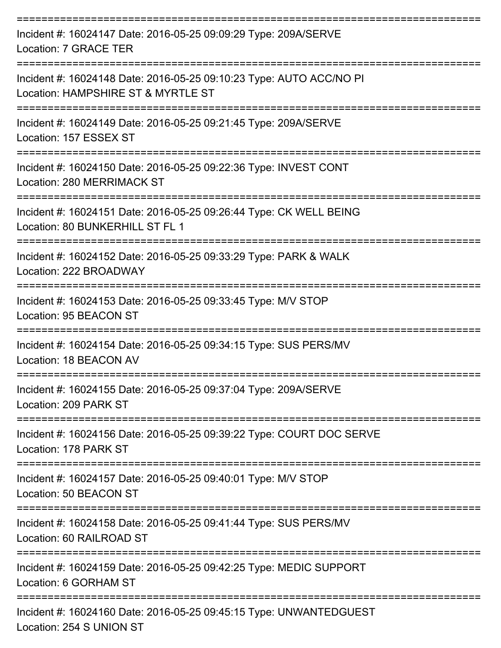| Incident #: 16024147 Date: 2016-05-25 09:09:29 Type: 209A/SERVE<br>Location: 7 GRACE TER                  |
|-----------------------------------------------------------------------------------------------------------|
| Incident #: 16024148 Date: 2016-05-25 09:10:23 Type: AUTO ACC/NO PI<br>Location: HAMPSHIRE ST & MYRTLE ST |
| Incident #: 16024149 Date: 2016-05-25 09:21:45 Type: 209A/SERVE<br>Location: 157 ESSEX ST                 |
| Incident #: 16024150 Date: 2016-05-25 09:22:36 Type: INVEST CONT<br>Location: 280 MERRIMACK ST            |
| Incident #: 16024151 Date: 2016-05-25 09:26:44 Type: CK WELL BEING<br>Location: 80 BUNKERHILL ST FL 1     |
| Incident #: 16024152 Date: 2016-05-25 09:33:29 Type: PARK & WALK<br>Location: 222 BROADWAY                |
| Incident #: 16024153 Date: 2016-05-25 09:33:45 Type: M/V STOP<br>Location: 95 BEACON ST                   |
| Incident #: 16024154 Date: 2016-05-25 09:34:15 Type: SUS PERS/MV<br>Location: 18 BEACON AV                |
| Incident #: 16024155 Date: 2016-05-25 09:37:04 Type: 209A/SERVE<br>Location: 209 PARK ST                  |
| Incident #: 16024156 Date: 2016-05-25 09:39:22 Type: COURT DOC SERVE<br>Location: 178 PARK ST             |
| Incident #: 16024157 Date: 2016-05-25 09:40:01 Type: M/V STOP<br>Location: 50 BEACON ST                   |
| Incident #: 16024158 Date: 2016-05-25 09:41:44 Type: SUS PERS/MV<br>Location: 60 RAILROAD ST              |
| Incident #: 16024159 Date: 2016-05-25 09:42:25 Type: MEDIC SUPPORT<br>Location: 6 GORHAM ST               |
| Incident #: 16024160 Date: 2016-05-25 09:45:15 Type: UNWANTEDGUEST<br>Location: 254 S UNION ST            |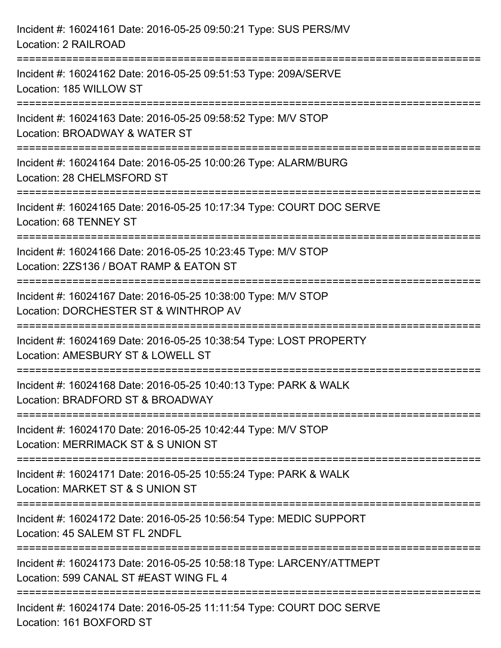| Incident #: 16024161 Date: 2016-05-25 09:50:21 Type: SUS PERS/MV<br>Location: 2 RAILROAD                                         |
|----------------------------------------------------------------------------------------------------------------------------------|
| Incident #: 16024162 Date: 2016-05-25 09:51:53 Type: 209A/SERVE<br>Location: 185 WILLOW ST                                       |
| Incident #: 16024163 Date: 2016-05-25 09:58:52 Type: M/V STOP<br>Location: BROADWAY & WATER ST<br>=========================      |
| Incident #: 16024164 Date: 2016-05-25 10:00:26 Type: ALARM/BURG<br>Location: 28 CHELMSFORD ST                                    |
| Incident #: 16024165 Date: 2016-05-25 10:17:34 Type: COURT DOC SERVE<br>Location: 68 TENNEY ST<br>============================== |
| Incident #: 16024166 Date: 2016-05-25 10:23:45 Type: M/V STOP<br>Location: 2ZS136 / BOAT RAMP & EATON ST                         |
| Incident #: 16024167 Date: 2016-05-25 10:38:00 Type: M/V STOP<br>Location: DORCHESTER ST & WINTHROP AV                           |
| Incident #: 16024169 Date: 2016-05-25 10:38:54 Type: LOST PROPERTY<br>Location: AMESBURY ST & LOWELL ST                          |
| Incident #: 16024168 Date: 2016-05-25 10:40:13 Type: PARK & WALK<br>Location: BRADFORD ST & BROADWAY                             |
| Incident #: 16024170 Date: 2016-05-25 10:42:44 Type: M/V STOP<br>Location: MERRIMACK ST & S UNION ST                             |
| Incident #: 16024171 Date: 2016-05-25 10:55:24 Type: PARK & WALK<br>Location: MARKET ST & S UNION ST                             |
| Incident #: 16024172 Date: 2016-05-25 10:56:54 Type: MEDIC SUPPORT<br>Location: 45 SALEM ST FL 2NDFL                             |
| Incident #: 16024173 Date: 2016-05-25 10:58:18 Type: LARCENY/ATTMEPT<br>Location: 599 CANAL ST #EAST WING FL 4                   |
| Incident #: 16024174 Date: 2016-05-25 11:11:54 Type: COURT DOC SERVE<br>Location: 161 BOXFORD ST                                 |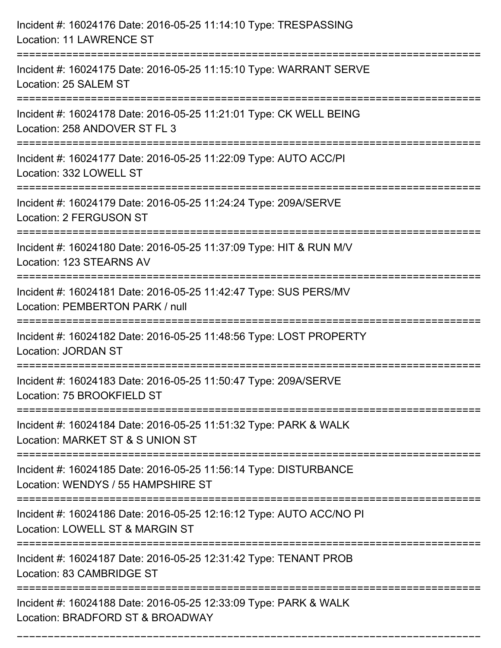| Incident #: 16024176 Date: 2016-05-25 11:14:10 Type: TRESPASSING<br><b>Location: 11 LAWRENCE ST</b>                    |
|------------------------------------------------------------------------------------------------------------------------|
| Incident #: 16024175 Date: 2016-05-25 11:15:10 Type: WARRANT SERVE<br>Location: 25 SALEM ST                            |
| Incident #: 16024178 Date: 2016-05-25 11:21:01 Type: CK WELL BEING<br>Location: 258 ANDOVER ST FL 3                    |
| Incident #: 16024177 Date: 2016-05-25 11:22:09 Type: AUTO ACC/PI<br>Location: 332 LOWELL ST                            |
| Incident #: 16024179 Date: 2016-05-25 11:24:24 Type: 209A/SERVE<br><b>Location: 2 FERGUSON ST</b>                      |
| Incident #: 16024180 Date: 2016-05-25 11:37:09 Type: HIT & RUN M/V<br>Location: 123 STEARNS AV                         |
| Incident #: 16024181 Date: 2016-05-25 11:42:47 Type: SUS PERS/MV<br>Location: PEMBERTON PARK / null<br>=============== |
| Incident #: 16024182 Date: 2016-05-25 11:48:56 Type: LOST PROPERTY<br><b>Location: JORDAN ST</b>                       |
| Incident #: 16024183 Date: 2016-05-25 11:50:47 Type: 209A/SERVE<br>Location: 75 BROOKFIELD ST                          |
| Incident #: 16024184 Date: 2016-05-25 11:51:32 Type: PARK & WALK<br>Location: MARKET ST & S UNION ST                   |
| Incident #: 16024185 Date: 2016-05-25 11:56:14 Type: DISTURBANCE<br>Location: WENDYS / 55 HAMPSHIRE ST                 |
| Incident #: 16024186 Date: 2016-05-25 12:16:12 Type: AUTO ACC/NO PI<br>Location: LOWELL ST & MARGIN ST                 |
| Incident #: 16024187 Date: 2016-05-25 12:31:42 Type: TENANT PROB<br>Location: 83 CAMBRIDGE ST                          |
| Incident #: 16024188 Date: 2016-05-25 12:33:09 Type: PARK & WALK<br>Location: BRADFORD ST & BROADWAY                   |

===========================================================================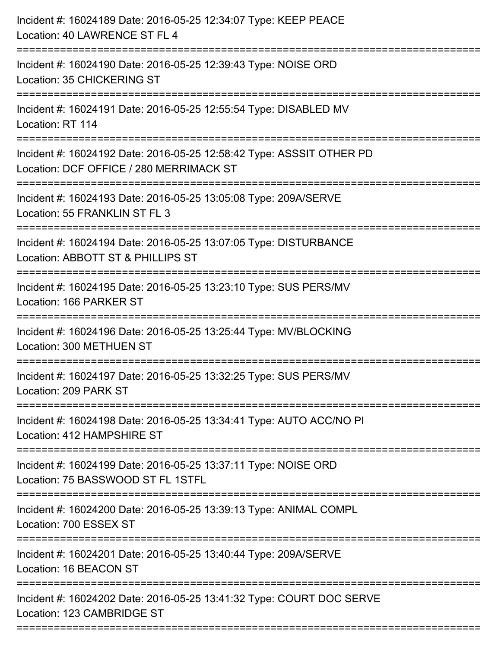| ======================= | Incident #: 16024189 Date: 2016-05-25 12:34:07 Type: KEEP PEACE<br>Location: 40 LAWRENCE ST FL 4                |
|-------------------------|-----------------------------------------------------------------------------------------------------------------|
|                         | Incident #: 16024190 Date: 2016-05-25 12:39:43 Type: NOISE ORD<br>Location: 35 CHICKERING ST                    |
|                         | Incident #: 16024191 Date: 2016-05-25 12:55:54 Type: DISABLED MV<br>Location: RT 114                            |
|                         | Incident #: 16024192 Date: 2016-05-25 12:58:42 Type: ASSSIT OTHER PD<br>Location: DCF OFFICE / 280 MERRIMACK ST |
|                         | Incident #: 16024193 Date: 2016-05-25 13:05:08 Type: 209A/SERVE<br>Location: 55 FRANKLIN ST FL 3                |
|                         | Incident #: 16024194 Date: 2016-05-25 13:07:05 Type: DISTURBANCE<br>Location: ABBOTT ST & PHILLIPS ST           |
|                         | Incident #: 16024195 Date: 2016-05-25 13:23:10 Type: SUS PERS/MV<br>Location: 166 PARKER ST                     |
|                         | Incident #: 16024196 Date: 2016-05-25 13:25:44 Type: MV/BLOCKING<br>Location: 300 METHUEN ST                    |
|                         | Incident #: 16024197 Date: 2016-05-25 13:32:25 Type: SUS PERS/MV<br>Location: 209 PARK ST                       |
|                         | Incident #: 16024198 Date: 2016-05-25 13:34:41 Type: AUTO ACC/NO PI<br>Location: 412 HAMPSHIRE ST               |
|                         | Incident #: 16024199 Date: 2016-05-25 13:37:11 Type: NOISE ORD<br>Location: 75 BASSWOOD ST FL 1STFL             |
|                         | Incident #: 16024200 Date: 2016-05-25 13:39:13 Type: ANIMAL COMPL<br>Location: 700 ESSEX ST                     |
|                         | Incident #: 16024201 Date: 2016-05-25 13:40:44 Type: 209A/SERVE<br>Location: 16 BEACON ST                       |
|                         | Incident #: 16024202 Date: 2016-05-25 13:41:32 Type: COURT DOC SERVE<br>Location: 123 CAMBRIDGE ST              |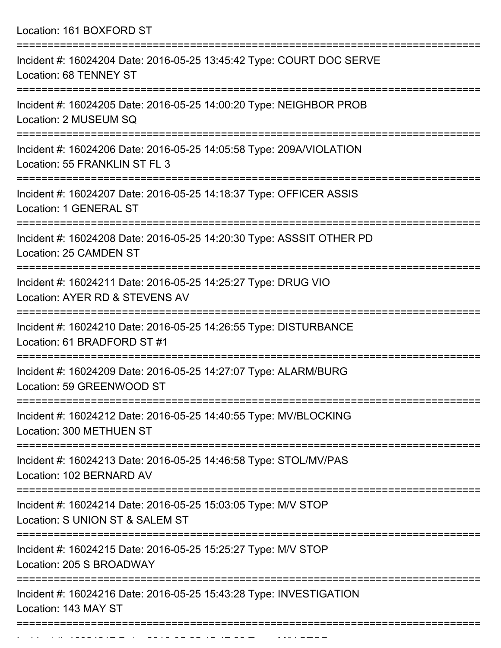Location: 161 BOXFORD ST

| Incident #: 16024204 Date: 2016-05-25 13:45:42 Type: COURT DOC SERVE<br>Location: 68 TENNEY ST       |
|------------------------------------------------------------------------------------------------------|
| Incident #: 16024205 Date: 2016-05-25 14:00:20 Type: NEIGHBOR PROB<br>Location: 2 MUSEUM SQ          |
| Incident #: 16024206 Date: 2016-05-25 14:05:58 Type: 209A/VIOLATION<br>Location: 55 FRANKLIN ST FL 3 |
| Incident #: 16024207 Date: 2016-05-25 14:18:37 Type: OFFICER ASSIS<br>Location: 1 GENERAL ST         |
| Incident #: 16024208 Date: 2016-05-25 14:20:30 Type: ASSSIT OTHER PD<br>Location: 25 CAMDEN ST       |
| Incident #: 16024211 Date: 2016-05-25 14:25:27 Type: DRUG VIO<br>Location: AYER RD & STEVENS AV      |
| Incident #: 16024210 Date: 2016-05-25 14:26:55 Type: DISTURBANCE<br>Location: 61 BRADFORD ST #1      |
| Incident #: 16024209 Date: 2016-05-25 14:27:07 Type: ALARM/BURG<br>Location: 59 GREENWOOD ST         |
| Incident #: 16024212 Date: 2016-05-25 14:40:55 Type: MV/BLOCKING<br>Location: 300 METHUEN ST         |
| Incident #: 16024213 Date: 2016-05-25 14:46:58 Type: STOL/MV/PAS<br>Location: 102 BERNARD AV         |
| Incident #: 16024214 Date: 2016-05-25 15:03:05 Type: M/V STOP<br>Location: S UNION ST & SALEM ST     |
| Incident #: 16024215 Date: 2016-05-25 15:25:27 Type: M/V STOP<br>Location: 205 S BROADWAY            |
| Incident #: 16024216 Date: 2016-05-25 15:43:28 Type: INVESTIGATION<br>Location: 143 MAY ST           |
|                                                                                                      |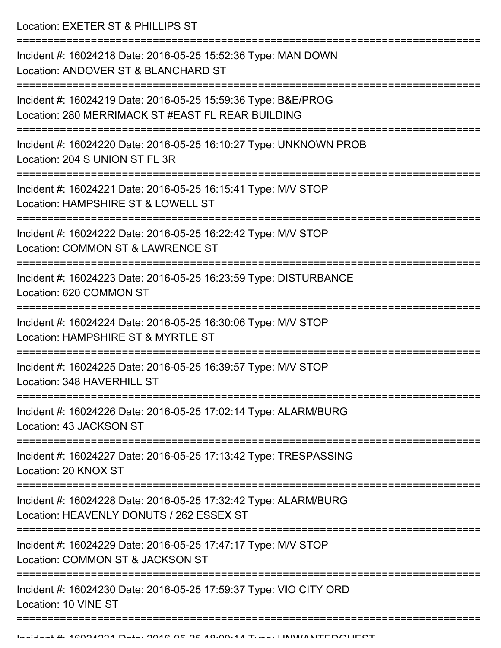Location: EXETER ST & PHILLIPS ST

=========================================================================== Incident #: 16024218 Date: 2016-05-25 15:52:36 Type: MAN DOWN Location: ANDOVER ST & BLANCHARD ST =========================================================================== Incident #: 16024219 Date: 2016-05-25 15:59:36 Type: B&E/PROG Location: 280 MERRIMACK ST #EAST FL REAR BUILDING =========================================================================== Incident #: 16024220 Date: 2016-05-25 16:10:27 Type: UNKNOWN PROB Location: 204 S UNION ST FL 3R =========================================================================== Incident #: 16024221 Date: 2016-05-25 16:15:41 Type: M/V STOP Location: HAMPSHIRE ST & LOWELL ST =========================================================================== Incident #: 16024222 Date: 2016-05-25 16:22:42 Type: M/V STOP Location: COMMON ST & LAWRENCE ST =========================================================================== Incident #: 16024223 Date: 2016-05-25 16:23:59 Type: DISTURBANCE Location: 620 COMMON ST =========================================================================== Incident #: 16024224 Date: 2016-05-25 16:30:06 Type: M/V STOP Location: HAMPSHIRE ST & MYRTLE ST =========================================================================== Incident #: 16024225 Date: 2016-05-25 16:39:57 Type: M/V STOP Location: 348 HAVERHILL ST =========================================================================== Incident #: 16024226 Date: 2016-05-25 17:02:14 Type: ALARM/BURG Location: 43 JACKSON ST =========================================================================== Incident #: 16024227 Date: 2016-05-25 17:13:42 Type: TRESPASSING Location: 20 KNOX ST =========================================================================== Incident #: 16024228 Date: 2016-05-25 17:32:42 Type: ALARM/BURG Location: HEAVENLY DONUTS / 262 ESSEX ST =========================================================================== Incident #: 16024229 Date: 2016-05-25 17:47:17 Type: M/V STOP Location: COMMON ST & JACKSON ST =========================================================================== Incident #: 16024230 Date: 2016-05-25 17:59:37 Type: VIO CITY ORD Location: 10 VINE ST ==============================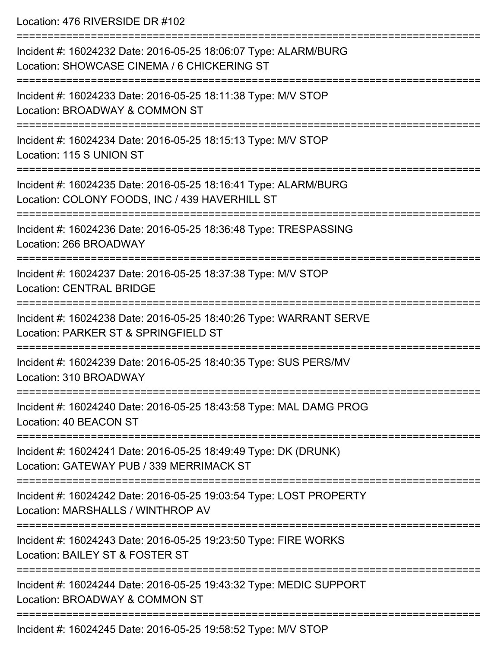Location: 476 RIVERSIDE DR #102

| Incident #: 16024232 Date: 2016-05-25 18:06:07 Type: ALARM/BURG<br>Location: SHOWCASE CINEMA / 6 CHICKERING ST<br>======================== |
|--------------------------------------------------------------------------------------------------------------------------------------------|
| Incident #: 16024233 Date: 2016-05-25 18:11:38 Type: M/V STOP<br>Location: BROADWAY & COMMON ST                                            |
| Incident #: 16024234 Date: 2016-05-25 18:15:13 Type: M/V STOP<br>Location: 115 S UNION ST                                                  |
| Incident #: 16024235 Date: 2016-05-25 18:16:41 Type: ALARM/BURG<br>Location: COLONY FOODS, INC / 439 HAVERHILL ST                          |
| --------------------<br>Incident #: 16024236 Date: 2016-05-25 18:36:48 Type: TRESPASSING<br>Location: 266 BROADWAY                         |
| Incident #: 16024237 Date: 2016-05-25 18:37:38 Type: M/V STOP<br><b>Location: CENTRAL BRIDGE</b>                                           |
| Incident #: 16024238 Date: 2016-05-25 18:40:26 Type: WARRANT SERVE<br>Location: PARKER ST & SPRINGFIELD ST                                 |
| Incident #: 16024239 Date: 2016-05-25 18:40:35 Type: SUS PERS/MV<br>Location: 310 BROADWAY                                                 |
| Incident #: 16024240 Date: 2016-05-25 18:43:58 Type: MAL DAMG PROG<br>Location: 40 BEACON ST                                               |
| Incident #: 16024241 Date: 2016-05-25 18:49:49 Type: DK (DRUNK)<br>Location: GATEWAY PUB / 339 MERRIMACK ST                                |
| Incident #: 16024242 Date: 2016-05-25 19:03:54 Type: LOST PROPERTY<br>Location: MARSHALLS / WINTHROP AV                                    |
| Incident #: 16024243 Date: 2016-05-25 19:23:50 Type: FIRE WORKS<br>Location: BAILEY ST & FOSTER ST                                         |
| Incident #: 16024244 Date: 2016-05-25 19:43:32 Type: MEDIC SUPPORT<br>Location: BROADWAY & COMMON ST                                       |
| Incident #: 16024245 Date: 2016-05-25 19:58:52 Tyne: MAI STOP                                                                              |

Incident #: 16024245 Date: 2016-05-25 19:58:52 Type: M/V STOP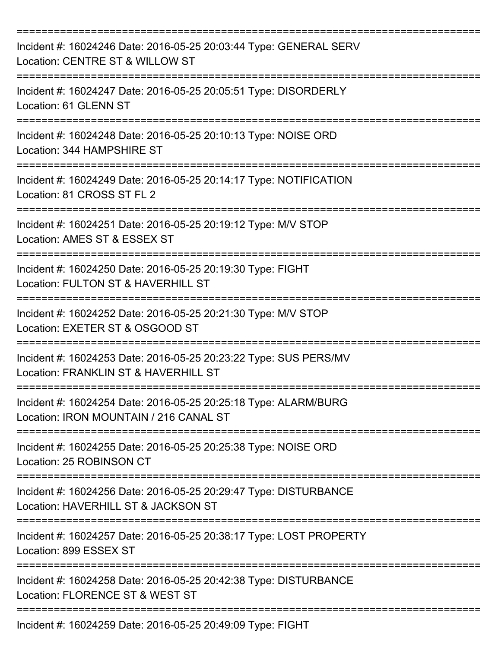| Incident #: 16024246 Date: 2016-05-25 20:03:44 Type: GENERAL SERV<br>Location: CENTRE ST & WILLOW ST             |
|------------------------------------------------------------------------------------------------------------------|
| Incident #: 16024247 Date: 2016-05-25 20:05:51 Type: DISORDERLY<br>Location: 61 GLENN ST                         |
| Incident #: 16024248 Date: 2016-05-25 20:10:13 Type: NOISE ORD<br>Location: 344 HAMPSHIRE ST<br>================ |
| Incident #: 16024249 Date: 2016-05-25 20:14:17 Type: NOTIFICATION<br>Location: 81 CROSS ST FL 2                  |
| Incident #: 16024251 Date: 2016-05-25 20:19:12 Type: M/V STOP<br>Location: AMES ST & ESSEX ST                    |
| Incident #: 16024250 Date: 2016-05-25 20:19:30 Type: FIGHT<br>Location: FULTON ST & HAVERHILL ST                 |
| Incident #: 16024252 Date: 2016-05-25 20:21:30 Type: M/V STOP<br>Location: EXETER ST & OSGOOD ST                 |
| Incident #: 16024253 Date: 2016-05-25 20:23:22 Type: SUS PERS/MV<br>Location: FRANKLIN ST & HAVERHILL ST         |
| Incident #: 16024254 Date: 2016-05-25 20:25:18 Type: ALARM/BURG<br>Location: IRON MOUNTAIN / 216 CANAL ST        |
| Incident #: 16024255 Date: 2016-05-25 20:25:38 Type: NOISE ORD<br>Location: 25 ROBINSON CT                       |
| Incident #: 16024256 Date: 2016-05-25 20:29:47 Type: DISTURBANCE<br>Location: HAVERHILL ST & JACKSON ST          |
| Incident #: 16024257 Date: 2016-05-25 20:38:17 Type: LOST PROPERTY<br>Location: 899 ESSEX ST                     |
| Incident #: 16024258 Date: 2016-05-25 20:42:38 Type: DISTURBANCE<br>Location: FLORENCE ST & WEST ST              |
| Incident #: 16024259 Date: 2016-05-25 20:49:09 Type: FIGHT                                                       |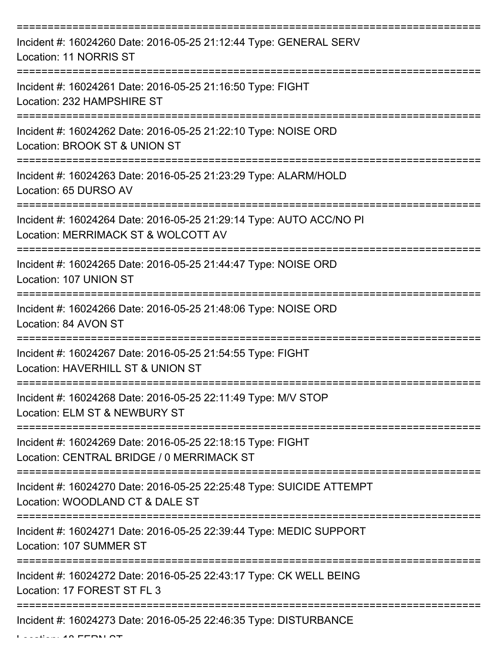| Incident #: 16024260 Date: 2016-05-25 21:12:44 Type: GENERAL SERV<br>Location: 11 NORRIS ST                  |
|--------------------------------------------------------------------------------------------------------------|
| Incident #: 16024261 Date: 2016-05-25 21:16:50 Type: FIGHT<br>Location: 232 HAMPSHIRE ST                     |
| Incident #: 16024262 Date: 2016-05-25 21:22:10 Type: NOISE ORD<br>Location: BROOK ST & UNION ST              |
| Incident #: 16024263 Date: 2016-05-25 21:23:29 Type: ALARM/HOLD<br>Location: 65 DURSO AV                     |
| Incident #: 16024264 Date: 2016-05-25 21:29:14 Type: AUTO ACC/NO PI<br>Location: MERRIMACK ST & WOLCOTT AV   |
| Incident #: 16024265 Date: 2016-05-25 21:44:47 Type: NOISE ORD<br>Location: 107 UNION ST                     |
| ==================<br>Incident #: 16024266 Date: 2016-05-25 21:48:06 Type: NOISE ORD<br>Location: 84 AVON ST |
| Incident #: 16024267 Date: 2016-05-25 21:54:55 Type: FIGHT<br>Location: HAVERHILL ST & UNION ST              |
| Incident #: 16024268 Date: 2016-05-25 22:11:49 Type: M/V STOP<br>Location: ELM ST & NEWBURY ST               |
| Incident #: 16024269 Date: 2016-05-25 22:18:15 Type: FIGHT<br>Location: CENTRAL BRIDGE / 0 MERRIMACK ST      |
| Incident #: 16024270 Date: 2016-05-25 22:25:48 Type: SUICIDE ATTEMPT<br>Location: WOODLAND CT & DALE ST      |
| Incident #: 16024271 Date: 2016-05-25 22:39:44 Type: MEDIC SUPPORT<br>Location: 107 SUMMER ST                |
| Incident #: 16024272 Date: 2016-05-25 22:43:17 Type: CK WELL BEING<br>Location: 17 FOREST ST FL 3            |
| Incident #: 16024273 Date: 2016-05-25 22:46:35 Type: DISTURBANCE                                             |

Location: 18 FERN ST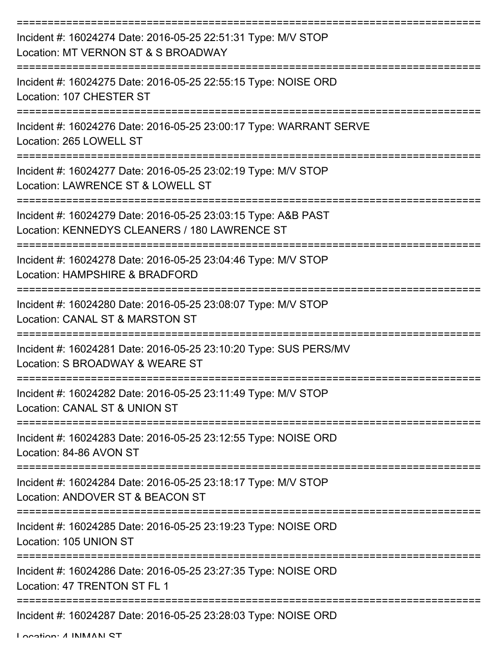| Incident #: 16024274 Date: 2016-05-25 22:51:31 Type: M/V STOP<br>Location: MT VERNON ST & S BROADWAY           |
|----------------------------------------------------------------------------------------------------------------|
| Incident #: 16024275 Date: 2016-05-25 22:55:15 Type: NOISE ORD<br>Location: 107 CHESTER ST                     |
| Incident #: 16024276 Date: 2016-05-25 23:00:17 Type: WARRANT SERVE<br>Location: 265 LOWELL ST                  |
| Incident #: 16024277 Date: 2016-05-25 23:02:19 Type: M/V STOP<br>Location: LAWRENCE ST & LOWELL ST             |
| Incident #: 16024279 Date: 2016-05-25 23:03:15 Type: A&B PAST<br>Location: KENNEDYS CLEANERS / 180 LAWRENCE ST |
| Incident #: 16024278 Date: 2016-05-25 23:04:46 Type: M/V STOP<br>Location: HAMPSHIRE & BRADFORD                |
| Incident #: 16024280 Date: 2016-05-25 23:08:07 Type: M/V STOP<br>Location: CANAL ST & MARSTON ST               |
| Incident #: 16024281 Date: 2016-05-25 23:10:20 Type: SUS PERS/MV<br>Location: S BROADWAY & WEARE ST            |
| Incident #: 16024282 Date: 2016-05-25 23:11:49 Type: M/V STOP<br>Location: CANAL ST & UNION ST                 |
| Incident #: 16024283 Date: 2016-05-25 23:12:55 Type: NOISE ORD<br>Location: 84-86 AVON ST                      |
| Incident #: 16024284 Date: 2016-05-25 23:18:17 Type: M/V STOP<br>Location: ANDOVER ST & BEACON ST              |
| Incident #: 16024285 Date: 2016-05-25 23:19:23 Type: NOISE ORD<br>Location: 105 UNION ST                       |
| Incident #: 16024286 Date: 2016-05-25 23:27:35 Type: NOISE ORD<br>Location: 47 TRENTON ST FL 1                 |
| ------------------------<br>Incident #: 16024287 Date: 2016-05-25 23:28:03 Type: NOISE ORD                     |